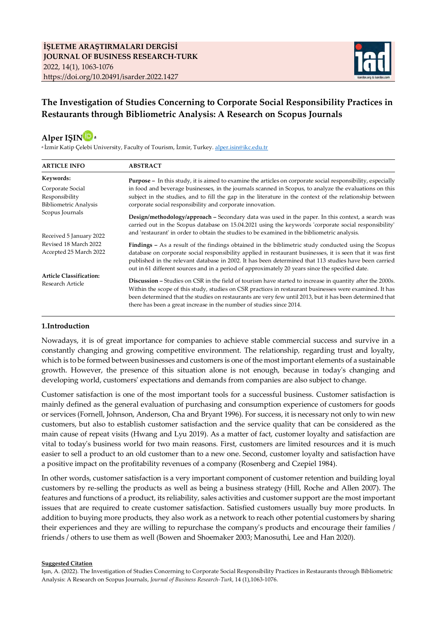

## **The Investigation of Studies Concerning to Corporate Social Responsibility Practices in Restaurants through Bibliometric Analysis: A Research on Scopus Journals**



a İzmir Katip Çelebi University, Faculty of Tourism, İzmir, Turkey[. alper.isin@ikc.edu.tr](mailto:alper.isin@ikc.edu.tr)

| <b>ARTICLE INFO</b>                             | <b>ABSTRACT</b>                                                                                                                                                                                                                                                                                                                                                                                                                      |
|-------------------------------------------------|--------------------------------------------------------------------------------------------------------------------------------------------------------------------------------------------------------------------------------------------------------------------------------------------------------------------------------------------------------------------------------------------------------------------------------------|
| Keywords:                                       | <b>Purpose</b> – In this study, it is aimed to examine the articles on corporate social responsibility, especially                                                                                                                                                                                                                                                                                                                   |
| Corporate Social<br>Responsibility              | in food and beverage businesses, in the journals scanned in Scopus, to analyze the evaluations on this<br>subject in the studies, and to fill the gap in the literature in the context of the relationship between                                                                                                                                                                                                                   |
| <b>Bibliometric Analysis</b>                    | corporate social responsibility and corporate innovation.                                                                                                                                                                                                                                                                                                                                                                            |
| Scopus Journals                                 | Design/methodology/approach - Secondary data was used in the paper. In this context, a search was<br>carried out in the Scopus database on 15.04.2021 using the keywords 'corporate social responsibility'                                                                                                                                                                                                                           |
| Received 5 January 2022                         | and 'restaurant' in order to obtain the studies to be examined in the bibliometric analysis.                                                                                                                                                                                                                                                                                                                                         |
| Revised 18 March 2022<br>Accepted 25 March 2022 | <b>Findings</b> – As a result of the findings obtained in the biblimetric study conducted using the Scopus<br>database on corporate social responsibility applied in restaurant businesses, it is seen that it was first<br>published in the relevant database in 2002. It has been determined that 113 studies have been carried<br>out in 61 different sources and in a period of approximately 20 years since the specified date. |
| <b>Article Classification:</b>                  |                                                                                                                                                                                                                                                                                                                                                                                                                                      |
| Research Article                                | <b>Discussion</b> – Studies on CSR in the field of tourism have started to increase in quantity after the 2000s.<br>Within the scope of this study, studies on CSR practices in restaurant businesses were examined. It has<br>been determined that the studies on restaurants are very few until 2013, but it has been determined that<br>there has been a great increase in the number of studies since 2014.                      |

#### **1.Introduction**

Nowadays, it is of great importance for companies to achieve stable commercial success and survive in a constantly changing and growing competitive environment. The relationship, regarding trust and loyalty, which is to be formed between businesses and customers is one of the most important elements of a sustainable growth. However, the presence of this situation alone is not enough, because in today's changing and developing world, customers' expectations and demands from companies are also subject to change.

Customer satisfaction is one of the most important tools for a successful business. Customer satisfaction is mainly defined as the general evaluation of purchasing and consumption experience of customers for goods or services (Fornell, Johnson, Anderson, Cha and Bryant 1996). For success, it is necessary not only to win new customers, but also to establish customer satisfaction and the service quality that can be considered as the main cause of repeat visits (Hwang and Lyu 2019). As a matter of fact, customer loyalty and satisfaction are vital to today's business world for two main reasons. First, customers are limited resources and it is much easier to sell a product to an old customer than to a new one. Second, customer loyalty and satisfaction have a positive impact on the profitability revenues of a company (Rosenberg and Czepiel 1984).

In other words, customer satisfaction is a very important component of customer retention and building loyal customers by re-selling the products as well as being a business strategy (Hill, Roche and Allen 2007). The features and functions of a product, its reliability, sales activities and customer support are the most important issues that are required to create customer satisfaction. Satisfied customers usually buy more products. In addition to buying more products, they also work as a network to reach other potential customers by sharing their experiences and they are willing to repurchase the company's products and encourage their families / friends / others to use them as well (Bowen and Shoemaker 2003; Manosuthi, Lee and Han 2020).

#### **Suggested Citation**

Işın, A. (2022). The Investigation of Studies Concerning to Corporate Social Responsibility Practices in Restaurants through Bibliometric Analysis: A Research on Scopus Journals, *Journal of Business Research-Turk*, 14 (1),1063-1076.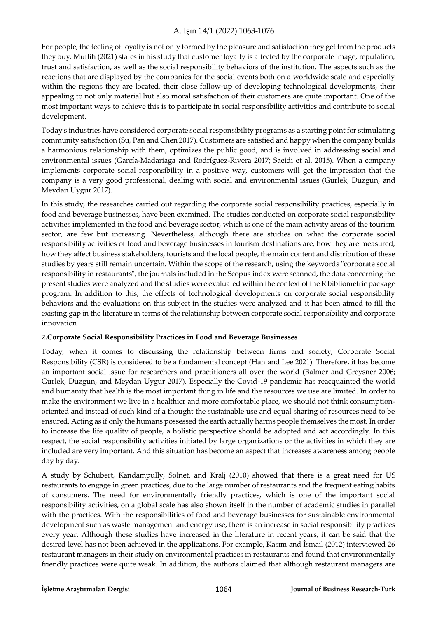For people, the feeling of loyalty is not only formed by the pleasure and satisfaction they get from the products they buy. Muflih (2021) states in his study that customer loyalty is affected by the corporate image, reputation, trust and satisfaction, as well as the social responsibility behaviors of the institution. The aspects such as the reactions that are displayed by the companies for the social events both on a worldwide scale and especially within the regions they are located, their close follow-up of developing technological developments, their appealing to not only material but also moral satisfaction of their customers are quite important. One of the most important ways to achieve this is to participate in social responsibility activities and contribute to social development.

Today's industries have considered corporate social responsibility programs as a starting point for stimulating community satisfaction (Su, Pan and Chen 2017). Customers are satisfied and happy when the company builds a harmonious relationship with them, optimizes the public good, and is involved in addressing social and environmental issues (García-Madariaga and Rodríguez-Rivera 2017; Saeidi et al. 2015). When a company implements corporate social responsibility in a positive way, customers will get the impression that the company is a very good professional, dealing with social and environmental issues (Gürlek, Düzgün, and Meydan Uygur 2017).

In this study, the researches carried out regarding the corporate social responsibility practices, especially in food and beverage businesses, have been examined. The studies conducted on corporate social responsibility activities implemented in the food and beverage sector, which is one of the main activity areas of the tourism sector, are few but increasing. Nevertheless, although there are studies on what the corporate social responsibility activities of food and beverage businesses in tourism destinations are, how they are measured, how they affect business stakeholders, tourists and the local people, the main content and distribution of these studies by years still remain uncertain. Within the scope of the research, using the keywords "corporate social responsibility in restaurants", the journals included in the Scopus index were scanned, the data concerning the present studies were analyzed and the studies were evaluated within the context of the R bibliometric package program. In addition to this, the effects of technological developments on corporate social responsibility behaviors and the evaluations on this subject in the studies were analyzed and it has been aimed to fill the existing gap in the literature in terms of the relationship between corporate social responsibility and corporate innovation

#### **2.Corporate Social Responsibility Practices in Food and Beverage Businesses**

Today, when it comes to discussing the relationship between firms and society, Corporate Social Responsibility (CSR) is considered to be a fundamental concept (Han and Lee 2021). Therefore, it has become an important social issue for researchers and practitioners all over the world (Balmer and Greysner 2006; Gürlek, Düzgün, and Meydan Uygur 2017). Especially the Covid-19 pandemic has reacquainted the world and humanity that health is the most important thing in life and the resources we use are limited. In order to make the environment we live in a healthier and more comfortable place, we should not think consumptionoriented and instead of such kind of a thought the sustainable use and equal sharing of resources need to be ensured. Acting as if only the humans possessed the earth actually harms people themselves the most. In order to increase the life quality of people, a holistic perspective should be adopted and act accordingly. In this respect, the social responsibility activities initiated by large organizations or the activities in which they are included are very important. And this situation has become an aspect that increases awareness among people day by day.

A study by Schubert, Kandampully, Solnet, and Kralj (2010) showed that there is a great need for US restaurants to engage in green practices, due to the large number of restaurants and the frequent eating habits of consumers. The need for environmentally friendly practices, which is one of the important social responsibility activities, on a global scale has also shown itself in the number of academic studies in parallel with the practices. With the responsibilities of food and beverage businesses for sustainable environmental development such as waste management and energy use, there is an increase in social responsibility practices every year. Although these studies have increased in the literature in recent years, it can be said that the desired level has not been achieved in the applications. For example, Kasım and İsmail (2012) interviewed 26 restaurant managers in their study on environmental practices in restaurants and found that environmentally friendly practices were quite weak. In addition, the authors claimed that although restaurant managers are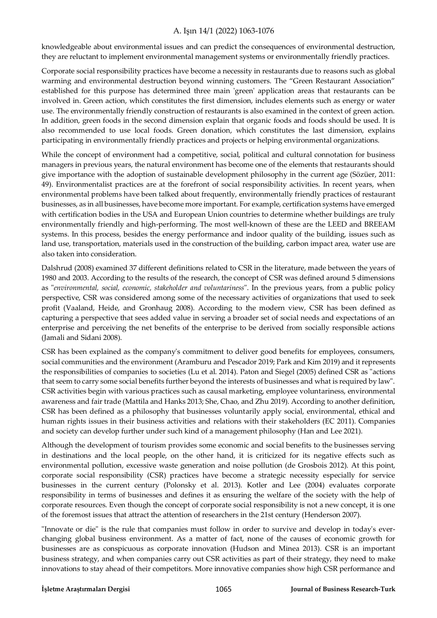knowledgeable about environmental issues and can predict the consequences of environmental destruction, they are reluctant to implement environmental management systems or environmentally friendly practices.

Corporate social responsibility practices have become a necessity in restaurants due to reasons such as global warming and environmental destruction beyond winning customers. The "Green Restaurant Association" established for this purpose has determined three main 'green' application areas that restaurants can be involved in. Green action, which constitutes the first dimension, includes elements such as energy or water use. The environmentally friendly construction of restaurants is also examined in the context of green action. In addition, green foods in the second dimension explain that organic foods and foods should be used. It is also recommended to use local foods. Green donation, which constitutes the last dimension, explains participating in environmentally friendly practices and projects or helping environmental organizations.

While the concept of environment had a competitive, social, political and cultural connotation for business managers in previous years, the natural environment has become one of the elements that restaurants should give importance with the adoption of sustainable development philosophy in the current age (Sözüer, 2011: 49). Environmentalist practices are at the forefront of social responsibility activities. In recent years, when environmental problems have been talked about frequently, environmentally friendly practices of restaurant businesses, as in all businesses, have become more important. For example, certification systems have emerged with certification bodies in the USA and European Union countries to determine whether buildings are truly environmentally friendly and high-performing. The most well-known of these are the LEED and BREEAM systems. In this process, besides the energy performance and indoor quality of the building, issues such as land use, transportation, materials used in the construction of the building, carbon impact area, water use are also taken into consideration.

Dalshrud (2008) examined 37 different definitions related to CSR in the literature, made between the years of 1980 and 2003. According to the results of the research, the concept of CSR was defined around 5 dimensions as "*environmental, social, economic, stakeholder and voluntariness*". In the previous years, from a public policy perspective, CSR was considered among some of the necessary activities of organizations that used to seek profit (Vaaland, Heide, and Gronhaug 2008). According to the modern view, CSR has been defined as capturing a perspective that sees added value in serving a broader set of social needs and expectations of an enterprise and perceiving the net benefits of the enterprise to be derived from socially responsible actions (Jamali and Sidani 2008).

CSR has been explained as the company's commitment to deliver good benefits for employees, consumers, social communities and the environment (Aramburu and Pescador 2019; Park and Kim 2019) and it represents the responsibilities of companies to societies (Lu et al. 2014). Paton and Siegel (2005) defined CSR as "actions that seem to carry some social benefits further beyond the interests of businesses and what is required by law". CSR activities begin with various practices such as causal marketing, employee voluntariness, environmental awareness and fair trade (Mattila and Hanks 2013; She, Chao, and Zhu 2019). According to another definition, CSR has been defined as a philosophy that businesses voluntarily apply social, environmental, ethical and human rights issues in their business activities and relations with their stakeholders (EC 2011). Companies and society can develop further under such kind of a management philosophy (Han and Lee 2021).

Although the development of tourism provides some economic and social benefits to the businesses serving in destinations and the local people, on the other hand, it is criticized for its negative effects such as environmental pollution, excessive waste generation and noise pollution (de Grosbois 2012). At this point, corporate social responsibility (CSR) practices have become a strategic necessity especially for service businesses in the current century (Polonsky et al. 2013). Kotler and Lee (2004) evaluates corporate responsibility in terms of businesses and defines it as ensuring the welfare of the society with the help of corporate resources. Even though the concept of corporate social responsibility is not a new concept, it is one of the foremost issues that attract the attention of researchers in the 21st century (Henderson 2007).

"Innovate or die" is the rule that companies must follow in order to survive and develop in today's everchanging global business environment. As a matter of fact, none of the causes of economic growth for businesses are as conspicuous as corporate innovation (Hudson and Minea 2013). CSR is an important business strategy, and when companies carry out CSR activities as part of their strategy, they need to make innovations to stay ahead of their competitors. More innovative companies show high CSR performance and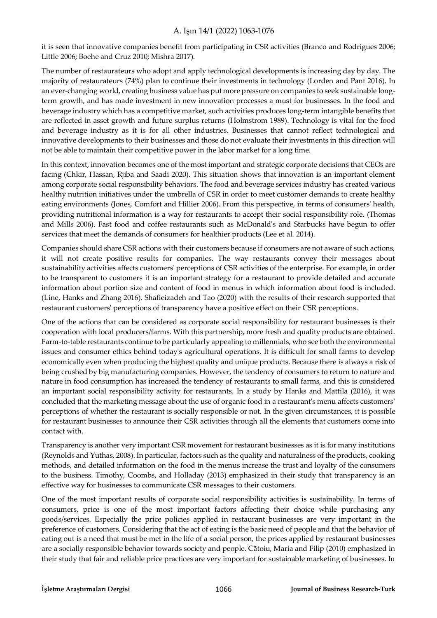it is seen that innovative companies benefit from participating in CSR activities (Branco and Rodrigues 2006; Little 2006; Boehe and Cruz 2010; Mishra 2017).

The number of restaurateurs who adopt and apply technological developments is increasing day by day. The majority of restaurateurs (74%) plan to continue their investments in technology (Lorden and Pant 2016). In an ever-changing world, creating business value has put more pressure on companies to seek sustainable longterm growth, and has made investment in new innovation processes a must for businesses. In the food and beverage industry which has a competitive market, such activities produces long-term intangible benefits that are reflected in asset growth and future surplus returns (Holmstrom 1989). Technology is vital for the food and beverage industry as it is for all other industries. Businesses that cannot reflect technological and innovative developments to their businesses and those do not evaluate their investments in this direction will not be able to maintain their competitive power in the labor market for a long time.

In this context, innovation becomes one of the most important and strategic corporate decisions that CEOs are facing (Chkir, Hassan, Rjiba and Saadi 2020). This situation shows that innovation is an important element among corporate social responsibility behaviors. The food and beverage services industry has created various healthy nutrition initiatives under the umbrella of CSR in order to meet customer demands to create healthy eating environments (Jones, Comfort and Hillier 2006). From this perspective, in terms of consumers' health, providing nutritional information is a way for restaurants to accept their social responsibility role. (Thomas and Mills 2006). Fast food and coffee restaurants such as McDonald's and Starbucks have begun to offer services that meet the demands of consumers for healthier products (Lee et al. 2014).

Companies should share CSR actions with their customers because if consumers are not aware of such actions, it will not create positive results for companies. The way restaurants convey their messages about sustainability activities affects customers' perceptions of CSR activities of the enterprise. For example, in order to be transparent to customers it is an important strategy for a restaurant to provide detailed and accurate information about portion size and content of food in menus in which information about food is included. (Line, Hanks and Zhang 2016). Shafieizadeh and Tao (2020) with the results of their research supported that restaurant customers' perceptions of transparency have a positive effect on their CSR perceptions.

One of the actions that can be considered as corporate social responsibility for restaurant businesses is their cooperation with local producers/farms. With this partnership, more fresh and quality products are obtained. Farm-to-table restaurants continue to be particularly appealing to millennials, who see both the environmental issues and consumer ethics behind today's agricultural operations. It is difficult for small farms to develop economically even when producing the highest quality and unique products. Because there is always a risk of being crushed by big manufacturing companies. However, the tendency of consumers to return to nature and nature in food consumption has increased the tendency of restaurants to small farms, and this is considered an important social responsibility activity for restaurants. In a study by Hanks and Mattila (2016), it was concluded that the marketing message about the use of organic food in a restaurant's menu affects customers' perceptions of whether the restaurant is socially responsible or not. In the given circumstances, it is possible for restaurant businesses to announce their CSR activities through all the elements that customers come into contact with.

Transparency is another very important CSR movement for restaurant businesses as it is for many institutions (Reynolds and Yuthas, 2008). In particular, factors such as the quality and naturalness of the products, cooking methods, and detailed information on the food in the menus increase the trust and loyalty of the consumers to the business. Timothy, Coombs, and Holladay (2013) emphasized in their study that transparency is an effective way for businesses to communicate CSR messages to their customers.

One of the most important results of corporate social responsibility activities is sustainability. In terms of consumers, price is one of the most important factors affecting their choice while purchasing any goods/services. Especially the price policies applied in restaurant businesses are very important in the preference of customers. Considering that the act of eating is the basic need of people and that the behavior of eating out is a need that must be met in the life of a social person, the prices applied by restaurant businesses are a socially responsible behavior towards society and people. Cătoiu, Maria and Filip (2010) emphasized in their study that fair and reliable price practices are very important for sustainable marketing of businesses. In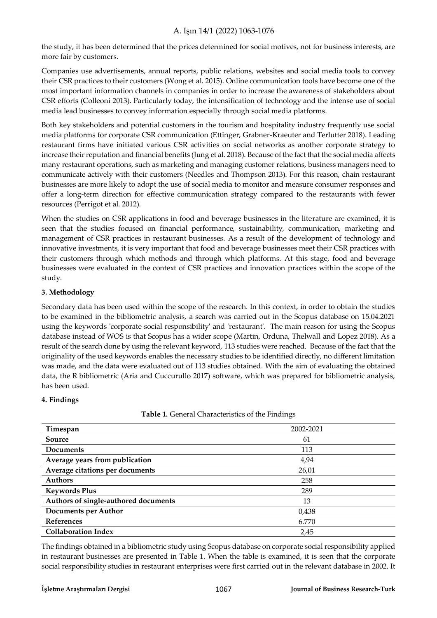the study, it has been determined that the prices determined for social motives, not for business interests, are more fair by customers.

Companies use advertisements, annual reports, public relations, websites and social media tools to convey their CSR practices to their customers (Wong et al. 2015). Online communication tools have become one of the most important information channels in companies in order to increase the awareness of stakeholders about CSR efforts (Colleoni 2013). Particularly today, the intensification of technology and the intense use of social media lead businesses to convey information especially through social media platforms.

Both key stakeholders and potential customers in the tourism and hospitality industry frequently use social media platforms for corporate CSR communication (Ettinger, Grabner-Kraeuter and Terlutter 2018). Leading restaurant firms have initiated various CSR activities on social networks as another corporate strategy to increase their reputation and financial benefits (Jung et al. 2018). Because of the fact that the social media affects many restaurant operations, such as marketing and managing customer relations, business managers need to communicate actively with their customers (Needles and Thompson 2013). For this reason, chain restaurant businesses are more likely to adopt the use of social media to monitor and measure consumer responses and offer a long-term direction for effective communication strategy compared to the restaurants with fewer resources (Perrigot et al. 2012).

When the studies on CSR applications in food and beverage businesses in the literature are examined, it is seen that the studies focused on financial performance, sustainability, communication, marketing and management of CSR practices in restaurant businesses. As a result of the development of technology and innovative investments, it is very important that food and beverage businesses meet their CSR practices with their customers through which methods and through which platforms. At this stage, food and beverage businesses were evaluated in the context of CSR practices and innovation practices within the scope of the study.

#### **3. Methodology**

Secondary data has been used within the scope of the research. In this context, in order to obtain the studies to be examined in the bibliometric analysis, a search was carried out in the Scopus database on 15.04.2021 using the keywords 'corporate social responsibility' and 'restaurant'. The main reason for using the Scopus database instead of WOS is that Scopus has a wider scope (Martin, Orduna, Thelwall and Lopez 2018). As a result of the search done by using the relevant keyword, 113 studies were reached. Because of the fact that the originality of the used keywords enables the necessary studies to be identified directly, no different limitation was made, and the data were evaluated out of 113 studies obtained. With the aim of evaluating the obtained data, the R bibliometric (Aria and Cuccurullo 2017) software, which was prepared for bibliometric analysis, has been used.

#### **4. Findings**

**Table 1.** General Characteristics of the Findings

| Timespan                             | 2002-2021 |
|--------------------------------------|-----------|
| Source                               | 61        |
| Documents                            | 113       |
| Average years from publication       | 4,94      |
| Average citations per documents      | 26,01     |
| <b>Authors</b>                       | 258       |
| <b>Keywords Plus</b>                 | 289       |
| Authors of single-authored documents | 13        |
| <b>Documents per Author</b>          | 0,438     |
| <b>References</b>                    | 6.770     |
| <b>Collaboration Index</b>           | 2,45      |

The findings obtained in a bibliometric study using Scopus database on corporate social responsibility applied in restaurant businesses are presented in Table 1. When the table is examined, it is seen that the corporate social responsibility studies in restaurant enterprises were first carried out in the relevant database in 2002. It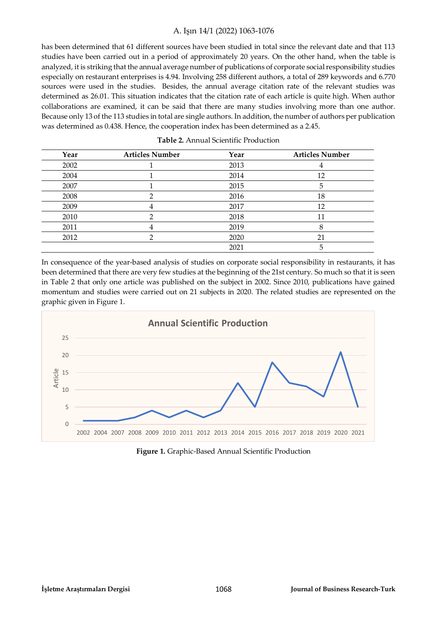has been determined that 61 different sources have been studied in total since the relevant date and that 113 studies have been carried out in a period of approximately 20 years. On the other hand, when the table is analyzed, it is striking that the annual average number of publications of corporate social responsibility studies especially on restaurant enterprises is 4.94. Involving 258 different authors, a total of 289 keywords and 6.770 sources were used in the studies. Besides, the annual average citation rate of the relevant studies was determined as 26.01. This situation indicates that the citation rate of each article is quite high. When author collaborations are examined, it can be said that there are many studies involving more than one author. Because only 13 of the 113 studies in total are single authors. In addition, the number of authors per publication was determined as 0.438. Hence, the cooperation index has been determined as a 2.45.

| Year | <b>Articles Number</b> | Year | <b>Articles Number</b> |
|------|------------------------|------|------------------------|
| 2002 |                        | 2013 |                        |
| 2004 |                        | 2014 | 12                     |
| 2007 |                        | 2015 | 5                      |
| 2008 |                        | 2016 | 18                     |
| 2009 |                        | 2017 | 12                     |
| 2010 |                        | 2018 | 11                     |
| 2011 |                        | 2019 |                        |
| 2012 |                        | 2020 | 21                     |
|      |                        | 2021 | 5                      |

|  |  | <b>Table 2.</b> Annual Scientific Production |
|--|--|----------------------------------------------|
|--|--|----------------------------------------------|

In consequence of the year-based analysis of studies on corporate social responsibility in restaurants, it has been determined that there are very few studies at the beginning of the 21st century. So much so that it is seen in Table 2 that only one article was published on the subject in 2002. Since 2010, publications have gained momentum and studies were carried out on 21 subjects in 2020. The related studies are represented on the graphic given in Figure 1.



**Figure 1.** Graphic-Based Annual Scientific Production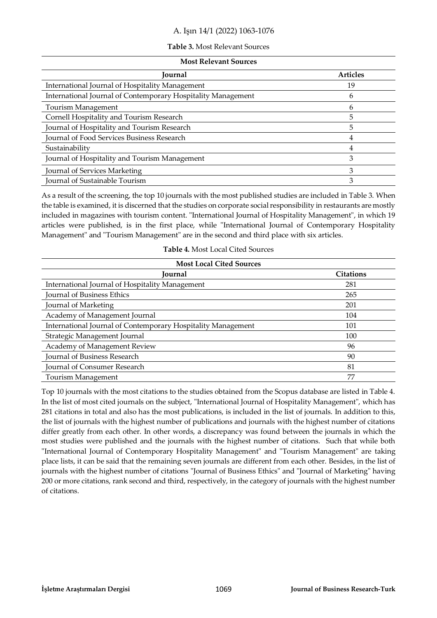#### **Table 3.** Most Relevant Sources

#### **Most Relevant Sources**

| Journal                                                      | <b>Articles</b> |
|--------------------------------------------------------------|-----------------|
| International Journal of Hospitality Management              | 19              |
| International Journal of Contemporary Hospitality Management | h               |
| Tourism Management                                           |                 |
| Cornell Hospitality and Tourism Research                     |                 |
| Journal of Hospitality and Tourism Research                  | 5               |
| Journal of Food Services Business Research                   |                 |
| Sustainability                                               |                 |
| Journal of Hospitality and Tourism Management                |                 |
| Journal of Services Marketing                                |                 |
| Journal of Sustainable Tourism                               |                 |

As a result of the screening, the top 10 journals with the most published studies are included in Table 3. When the table is examined, it is discerned that the studies on corporate social responsibility in restaurants are mostly included in magazines with tourism content. "International Journal of Hospitality Management", in which 19 articles were published, is in the first place, while "International Journal of Contemporary Hospitality Management" and "Tourism Management" are in the second and third place with six articles.

| <b>Table 4. Most Local Cited Sources</b> |  |  |
|------------------------------------------|--|--|
|                                          |  |  |

| <b>Most Local Cited Sources</b>                              |                  |  |
|--------------------------------------------------------------|------------------|--|
| Journal                                                      | <b>Citations</b> |  |
| International Journal of Hospitality Management              | 281              |  |
| <b>Journal of Business Ethics</b>                            | 265              |  |
| Journal of Marketing                                         | 201              |  |
| Academy of Management Journal                                | 104              |  |
| International Journal of Contemporary Hospitality Management | 101              |  |
| Strategic Management Journal                                 | 100              |  |
| Academy of Management Review                                 | 96               |  |
| Journal of Business Research                                 | 90               |  |
| Journal of Consumer Research                                 | 81               |  |
| Tourism Management                                           | 77               |  |

Top 10 journals with the most citations to the studies obtained from the Scopus database are listed in Table 4. In the list of most cited journals on the subject, "International Journal of Hospitality Management", which has 281 citations in total and also has the most publications, is included in the list of journals. In addition to this, the list of journals with the highest number of publications and journals with the highest number of citations differ greatly from each other. In other words, a discrepancy was found between the journals in which the most studies were published and the journals with the highest number of citations. Such that while both "International Journal of Contemporary Hospitality Management" and "Tourism Management" are taking place lists, it can be said that the remaining seven journals are different from each other. Besides, in the list of journals with the highest number of citations "Journal of Business Ethics" and "Journal of Marketing" having 200 or more citations, rank second and third, respectively, in the category of journals with the highest number of citations.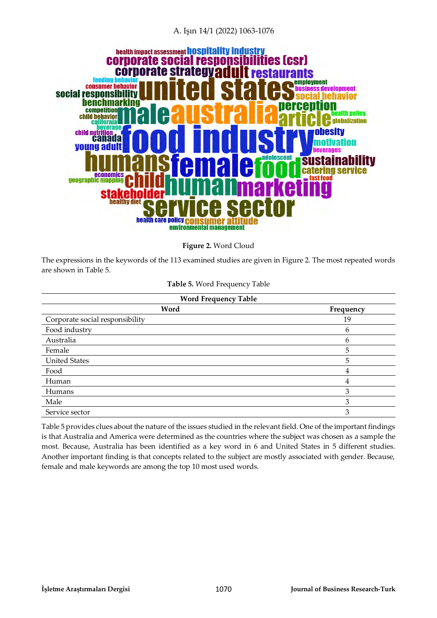

**Figure 2.** Word Cloud

The expressions in the keywords of the 113 examined studies are given in Figure 2. The most repeated words are shown in Table 5.

**Table 5.** Word Frequency Table

| <b>Word Frequency Table</b> |      |  |  |
|-----------------------------|------|--|--|
|                             | Word |  |  |
| onsibility                  |      |  |  |

| Word                            | Frequency |
|---------------------------------|-----------|
| Corporate social responsibility | 19        |
| Food industry                   | 6         |
| Australia                       | 6         |
| Female                          | 5         |
| <b>United States</b>            | 5         |
| Food                            | 4         |
| Human                           | 4         |
| Humans                          | 3         |
| Male                            | 3         |
| Service sector                  | 3         |

Table 5 provides clues about the nature of the issues studied in the relevant field. One of the important findings is that Australia and America were determined as the countries where the subject was chosen as a sample the most. Because, Australia has been identified as a key word in 6 and United States in 5 different studies. Another important finding is that concepts related to the subject are mostly associated with gender. Because, female and male keywords are among the top 10 most used words.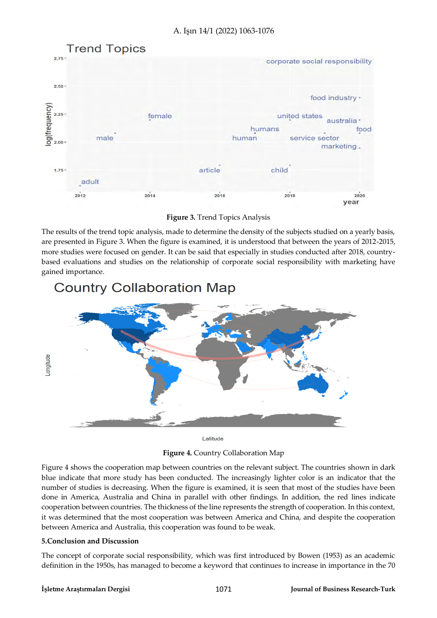

**Figure 3.** Trend Topics Analysis

The results of the trend topic analysis, made to determine the density of the subjects studied on a yearly basis, are presented in Figure 3. When the figure is examined, it is understood that between the years of 2012-2015, more studies were focused on gender. It can be said that especially in studies conducted after 2018, countrybased evaluations and studies on the relationship of corporate social responsibility with marketing have gained importance.



# **Country Collaboration Map**

Latitude

**Figure 4.** Country Collaboration Map

Figure 4 shows the cooperation map between countries on the relevant subject. The countries shown in dark blue indicate that more study has been conducted. The increasingly lighter color is an indicator that the number of studies is decreasing. When the figure is examined, it is seen that most of the studies have been done in America, Australia and China in parallel with other findings. In addition, the red lines indicate cooperation between countries. The thickness of the line represents the strength of cooperation. In this context, it was determined that the most cooperation was between America and China, and despite the cooperation between America and Australia, this cooperation was found to be weak.

#### **5.Conclusion and Discussion**

The concept of corporate social responsibility, which was first introduced by Bowen (1953) as an academic definition in the 1950s, has managed to become a keyword that continues to increase in importance in the 70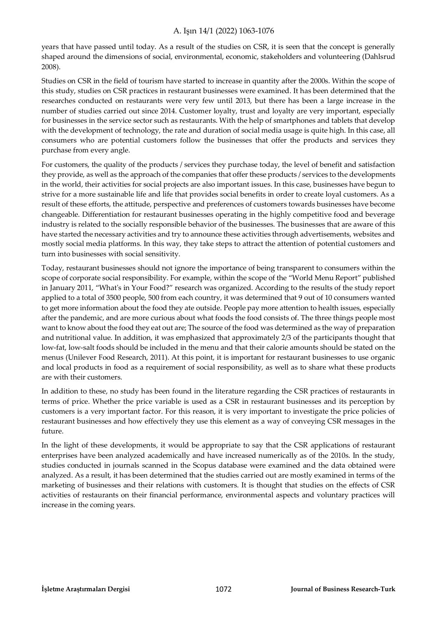years that have passed until today. As a result of the studies on CSR, it is seen that the concept is generally shaped around the dimensions of social, environmental, economic, stakeholders and volunteering (Dahlsrud 2008).

Studies on CSR in the field of tourism have started to increase in quantity after the 2000s. Within the scope of this study, studies on CSR practices in restaurant businesses were examined. It has been determined that the researches conducted on restaurants were very few until 2013, but there has been a large increase in the number of studies carried out since 2014. Customer loyalty, trust and loyalty are very important, especially for businesses in the service sector such as restaurants. With the help of smartphones and tablets that develop with the development of technology, the rate and duration of social media usage is quite high. In this case, all consumers who are potential customers follow the businesses that offer the products and services they purchase from every angle.

For customers, the quality of the products / services they purchase today, the level of benefit and satisfaction they provide, as well as the approach of the companies that offer these products / services to the developments in the world, their activities for social projects are also important issues. In this case, businesses have begun to strive for a more sustainable life and life that provides social benefits in order to create loyal customers. As a result of these efforts, the attitude, perspective and preferences of customers towards businesses have become changeable. Differentiation for restaurant businesses operating in the highly competitive food and beverage industry is related to the socially responsible behavior of the businesses. The businesses that are aware of this have started the necessary activities and try to announce these activities through advertisements, websites and mostly social media platforms. In this way, they take steps to attract the attention of potential customers and turn into businesses with social sensitivity.

Today, restaurant businesses should not ignore the importance of being transparent to consumers within the scope of corporate social responsibility. For example, within the scope of the "World Menu Report" published in January 2011, "What's in Your Food?" research was organized. According to the results of the study report applied to a total of 3500 people, 500 from each country, it was determined that 9 out of 10 consumers wanted to get more information about the food they ate outside. People pay more attention to health issues, especially after the pandemic, and are more curious about what foods the food consists of. The three things people most want to know about the food they eat out are; The source of the food was determined as the way of preparation and nutritional value. In addition, it was emphasized that approximately 2/3 of the participants thought that low-fat, low-salt foods should be included in the menu and that their calorie amounts should be stated on the menus (Unilever Food Research, 2011). At this point, it is important for restaurant businesses to use organic and local products in food as a requirement of social responsibility, as well as to share what these products are with their customers.

In addition to these, no study has been found in the literature regarding the CSR practices of restaurants in terms of price. Whether the price variable is used as a CSR in restaurant businesses and its perception by customers is a very important factor. For this reason, it is very important to investigate the price policies of restaurant businesses and how effectively they use this element as a way of conveying CSR messages in the future.

In the light of these developments, it would be appropriate to say that the CSR applications of restaurant enterprises have been analyzed academically and have increased numerically as of the 2010s. In the study, studies conducted in journals scanned in the Scopus database were examined and the data obtained were analyzed. As a result, it has been determined that the studies carried out are mostly examined in terms of the marketing of businesses and their relations with customers. It is thought that studies on the effects of CSR activities of restaurants on their financial performance, environmental aspects and voluntary practices will increase in the coming years.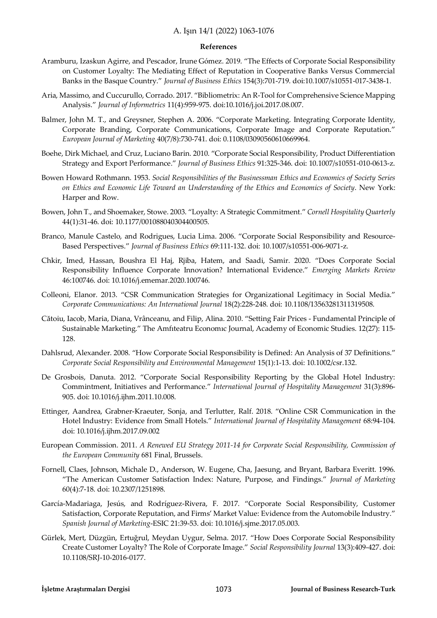#### **References**

- Aramburu, Izaskun Agirre, and Pescador, Irune Gómez. 2019. "The Effects of Corporate Social Responsibility on Customer Loyalty: The Mediating Effect of Reputation in Cooperative Banks Versus Commercial Banks in the Basque Country." *Journal of Business Ethics* 154(3):701-719. doi:10.1007/s10551-017-3438-1.
- Aria, Massimo, and Cuccurullo, Corrado. 2017. "Bibliometrix: An R-Tool for Comprehensive Science Mapping Analysis." *Journal of Informetrics* 11(4):959-975. doi:10.1016/j.joi.2017.08.007.
- Balmer, John M. T., and Greysner, Stephen A. 2006. "Corporate Marketing. Integrating Corporate Identity, Corporate Branding, Corporate Communications, Corporate Image and Corporate Reputation." *European Journal of Marketing* 40(7/8):730-741. doi: 0.1108/03090560610669964.
- Boehe, Dirk Michael, and Cruz, Luciano Barin. 2010. "Corporate Social Responsibility, Product Differentiation Strategy and Export Performance." *Journal of Business Ethics* 91:325-346. doi: 10.1007/s10551-010-0613-z.
- Bowen Howard Rothmann. 1953. *Social Responsibilities of the Businessman Ethics and Economics of Society Series on Ethics and Economic Life Toward an Understanding of the Ethics and Economics of Society*. New York: Harper and Row.
- Bowen, John T., and Shoemaker, Stowe. 2003. "Loyalty: A Strategic Commitment." *Cornell Hospitality Quarterly* 44(1):31-46. doi: 10.1177/001088040304400505.
- Branco, Manule Castelo, and Rodrigues, Lucia Lima. 2006. "Corporate Social Responsibility and Resource-Based Perspectives." *Journal of Business Ethics* 69:111-132. doi: 10.1007/s10551-006-9071-z.
- Chkir, Imed, Hassan, Boushra El Haj, Rjiba, Hatem, and Saadi, Samir. 2020. "Does Corporate Social Responsibility Influence Corporate Innovation? International Evidence." *Emerging Markets Review*  46:100746. doi: 10.1016/j.ememar.2020.100746.
- Colleoni, Elanor. 2013. "CSR Communication Strategies for Organizational Legitimacy in Social Media." *Corporate Communications: An International Journal* 18(2):228-248. doi: 10.1108/13563281311319508.
- Cătoiu, Iacob, Maria, Diana, Vrânceanu, and Filip, Alina. 2010. "Setting Fair Prices Fundamental Principle of Sustainable Marketing." The Amfıteatru Economıc Journal, Academy of Economic Studies. 12(27): 115- 128.
- Dahlsrud, Alexander. 2008. "How Corporate Social Responsibility is Defined: An Analysis of 37 Definitions." *Corporate Social Responsibility and Environmental Management* 15(1):1-13. doi: 10.1002/csr.132.
- De Grosbois, Danuta. 2012. "Corporate Social Responsibility Reporting by the Global Hotel Industry: Commintment, Initiatives and Performance." *International Journal of Hospitality Management* 31(3):896- 905. doi: 10.1016/j.ijhm.2011.10.008.
- Ettinger, Aandrea, Grabner-Kraeuter, Sonja, and Terlutter, Ralf. 2018. "Online CSR Communication in the Hotel Industry: Evidence from Small Hotels." *International Journal of Hospitality Management* 68:94-104. doi: 10.1016/j.ijhm.2017.09.002
- European Commission. 2011. *A Renewed EU Strategy 2011-14 for Corporate Social Responsibility, Commission of the European Community* 681 Final, Brussels.
- Fornell, Claes, Johnson, Michale D., Anderson, W. Eugene, Cha, Jaesung, and Bryant, Barbara Everitt. 1996. "The American Customer Satisfaction Index: Nature, Purpose, and Findings." *Journal of Marketing* 60(4):7-18. doi: 10.2307/1251898.
- García-Madariaga, Jesús, and Rodríguez-Rivera, F. 2017. "Corporate Social Responsibility, Customer Satisfaction, Corporate Reputation, and Firms' Market Value: Evidence from the Automobile Industry." *Spanish Journal of Marketing*-ESIC 21:39-53. doi: 10.1016/j.sjme.2017.05.003.
- Gürlek, Mert, Düzgün, Ertuğrul, Meydan Uygur, Selma. 2017. "How Does Corporate Social Responsibility Create Customer Loyalty? The Role of Corporate Image." *Social Responsibility Journal* 13(3):409-427. doi: 10.1108/SRJ-10-2016-0177.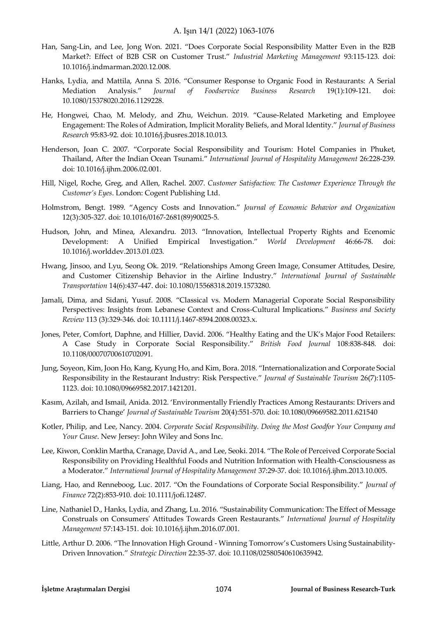- Han, Sang-Lin, and Lee, Jong Won. 2021. "Does Corporate Social Responsibility Matter Even in the B2B Market?: Effect of B2B CSR on Customer Trust." *Industrial Marketing Management* 93:115-123. doi: 10.1016/j.indmarman.2020.12.008.
- Hanks, Lydia, and Mattila, Anna S. 2016. "Consumer Response to Organic Food in Restaurants: A Serial Mediation Analysis." *Journal of Foodservice Business Research* 19(1):109-121. doi: 10.1080/15378020.2016.1129228.
- He, Hongwei, Chao, M. Melody, and Zhu, Weichun. 2019. "Cause-Related Marketing and Employee Engagement: The Roles of Admiration, Implicit Morality Beliefs, and Moral Identity." *Journal of Business Research* 95:83-92. doi: 10.1016/j.jbusres.2018.10.013.
- Henderson, Joan C. 2007. "Corporate Social Responsibility and Tourism: Hotel Companies in Phuket, Thailand, After the Indian Ocean Tsunami." *International Journal of Hospitality Management* 26:228-239. doi: 10.1016/j.ijhm.2006.02.001.
- Hill, Nigel, Roche, Greg, and Allen, Rachel. 2007. *Customer Satisfaction: The Customer Experience Through the Customer's Eyes*. London: Cogent Publishing Ltd.
- Holmstrom, Bengt. 1989. "Agency Costs and Innovation." *Journal of Economic Behavior and Organization* 12(3):305-327. doi: 10.1016/0167-2681(89)90025-5.
- Hudson, John, and Minea, Alexandru. 2013. "Innovation, Intellectual Property Rights and Ecenomic Development: A Unified Empirical Investigation." *World Development* 46:66-78. doi: 10.1016/j.worlddev.2013.01.023.
- Hwang, Jinsoo, and Lyu, Seong Ok. 2019. "Relationships Among Green Image, Consumer Attitudes, Desire, and Customer Citizenship Behavior in the Airline Industry." *International Journal of Sustainable Transportation* 14(6):437-447. doi: 10.1080/15568318.2019.1573280.
- Jamali, Dima, and Sidani, Yusuf. 2008. "Classical vs. Modern Managerial Coporate Social Responsibility Perspectives: Insights from Lebanese Context and Cross-Cultural Implications." *Business and Society Review* 113 (3):329-346. doi: 10.1111/j.1467-8594.2008.00323.x.
- Jones, Peter, Comfort, Daphne, and Hillier, David. 2006. "Healthy Eating and the UK's Major Food Retailers: A Case Study in Corporate Social Responsibility." *British Food Journal* 108:838-848. doi: 10.1108/00070700610702091.
- Jung, Soyeon, Kim, Joon Ho, Kang, Kyung Ho, and Kim, Bora. 2018. "Internationalization and Corporate Social Responsibility in the Restaurant Industry: Risk Perspective." *Journal of Sustainable Tourism* 26(7):1105- 1123. doi: 10.1080/09669582.2017.1421201.
- Kasım, Azilah, and Ismail, Anida. 2012. 'Environmentally Friendly Practices Among Restaurants: Drivers and Barriers to Change' *Journal of Sustainable Tourism* 20(4):551-570. doi: 10.1080/09669582.2011.621540
- Kotler, Philip, and Lee, Nancy. 2004. *Corporate Social Responsibility. Doing the Most Goodfor Your Company and Your Cause*. New Jersey: John Wiley and Sons Inc.
- Lee, Kiwon, Conklin Martha, Cranage, David A., and Lee, Seoki. 2014. "The Role of Perceived Corporate Social Responsibility on Providing Healthful Foods and Nutrition Information with Health-Consciousness as a Moderator." *International Journal of Hospitality Management* 37:29-37. doi: 10.1016/j.ijhm.2013.10.005.
- Liang, Hao, and Renneboog, Luc. 2017. "On the Foundations of Corporate Social Responsibility." *Journal of Finance* 72(2):853-910. doi: 10.1111/jofi.12487.
- Line, Nathaniel D., Hanks, Lydia, and Zhang, Lu. 2016. "Sustainability Communication: The Effect of Message Construals on Consumers' Attitudes Towards Green Restaurants." *International Journal of Hospitality Management* 57:143-151. doi: 10.1016/j.ijhm.2016.07.001.
- Little, Arthur D. 2006. "The Innovation High Ground Winning Tomorrow's Customers Using Sustainability-Driven Innovation." *Strategic Direction* 22:35-37. doi: 10.1108/02580540610635942.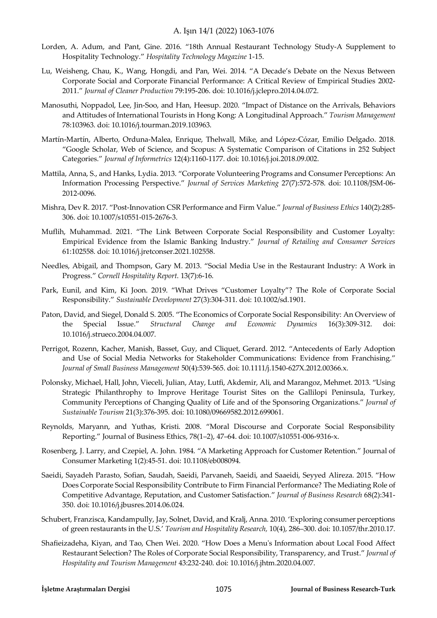- Lorden, A. Adum, and Pant, Gine. 2016. "18th Annual Restaurant Technology Study-A Supplement to Hospitality Technology." *Hospitality Technology Magazine* 1-15.
- Lu, Weisheng, Chau, K., Wang, Hongdi, and Pan, Wei. 2014. "A Decade's Debate on the Nexus Between Corporate Social and Corporate Financial Performance: A Critical Review of Empirical Studies 2002- 2011." *Journal of Cleaner Production* 79:195-206. doi: 10.1016/j.jclepro.2014.04.072.
- Manosuthi, Noppadol, Lee, Jin-Soo, and Han, Heesup. 2020. "Impact of Distance on the Arrivals, Behaviors and Attitudes of International Tourists in Hong Kong: A Longitudinal Approach." *Tourism Management* 78:103963. doi: 10.1016/j.tourman.2019.103963.
- Martín-Martín, Alberto, Orduna-Malea, Enrique, Thelwall, Mike, and López-Cózar, Emilio Delgado. 2018. "Google Scholar, Web of Science, and Scopus: A Systematic Comparison of Citations in 252 Subject Categories." *Journal of Informetrics* 12(4):1160-1177. doi: 10.1016/j.joi.2018.09.002.
- Mattila, Anna, S., and Hanks, Lydia. 2013. "Corporate Volunteering Programs and Consumer Perceptions: An Information Processing Perspective." *Journal of Services Marketing* 27(7):572-578. doi: 10.1108/JSM-06- 2012-0096.
- Mishra, Dev R. 2017. "Post-Innovation CSR Performance and Firm Value." *Journal of Business Ethics* 140(2):285- 306. doi: 10.1007/s10551-015-2676-3.
- Muflih, Muhammad. 2021. "The Link Between Corporate Social Responsibility and Customer Loyalty: Empirical Evidence from the Islamic Banking Industry." *Journal of Retailing and Consumer Services* 61:102558. doi: 10.1016/j.jretconser.2021.102558.
- Needles, Abigail, and Thompson, Gary M. 2013. "Social Media Use in the Restaurant Industry: A Work in Progress." *Cornell Hospitality Report*. 13(7):6-16.
- Park, Eunil, and Kim, Ki Joon. 2019. "What Drives "Customer Loyalty"? The Role of Corporate Social Responsibility." *Sustainable Development* 27(3):304-311. doi: 10.1002/sd.1901.
- Paton, David, and Siegel, Donald S. 2005. "The Economics of Corporate Social Responsibility: An Overview of the Special Issue." *Structural Change and Economic Dynamics* 16(3):309-312. doi: 10.1016/j.strueco.2004.04.007.
- Perrigot, Rozenn, Kacher, Manish, Basset, Guy, and Cliquet, Gerard. 2012. "Antecedents of Early Adoption and Use of Social Media Networks for Stakeholder Communications: Evidence from Franchising." *Journal of Small Business Management* 50(4):539-565. doi: 10.1111/j.1540-627X.2012.00366.x.
- Polonsky, Michael, Hall, John, Vieceli, Julian, Atay, Lutfi, Akdemir, Ali, and Marangoz, Mehmet. 2013. "Using Strategic Philanthrophy to Improve Heritage Tourist Sites on the Gallilopi Peninsula, Turkey, Community Perceptions of Changing Quality of Life and of the Sponsoring Organizations." *Journal of Sustainable Tourism* 21(3):376-395. doi: 10.1080/09669582.2012.699061.
- Reynolds, Maryann, and Yuthas, Kristi. 2008. "Moral Discourse and Corporate Social Responsibility Reporting." Journal of Business Ethics, 78(1–2), 47–64. doi: 10.1007/s10551-006-9316-x.
- Rosenberg, J. Larry, and Czepiel, A. John. 1984. "A Marketing Approach for Customer Retention." Journal of Consumer Marketing 1(2):45-51. doi: 10.1108/eb008094.
- Saeidi, Sayadeh Parasto, Sofian, Saudah, Saeidi, Parvaneh, Saeidi, and Saaeidi, Seyyed Alireza. 2015. "How Does Corporate Social Responsibility Contribute to Firm Financial Performance? The Mediating Role of Competitive Advantage, Reputation, and Customer Satisfaction." *Journal of Business Research* 68(2):341- 350. doi: 10.1016/j.jbusres.2014.06.024.
- Schubert, Franzisca, Kandampully, Jay, Solnet, David, and Kralj, Anna. 2010. 'Exploring consumer perceptions of green restaurants in the U.S.' *Tourism and Hospitality Research,* 10(4), 286–300. doi: 10.1057/thr.2010.17.
- Shafieizadeha, Kiyan, and Tao, Chen Wei. 2020. "How Does a Menu's Information about Local Food Affect Restaurant Selection? The Roles of Corporate Social Responsibility, Transparency, and Trust." *Journal of Hospitality and Tourism Management* 43:232-240. doi: 10.1016/j.jhtm.2020.04.007.